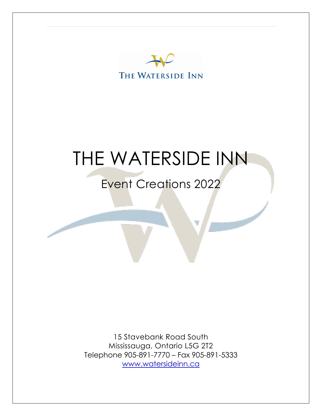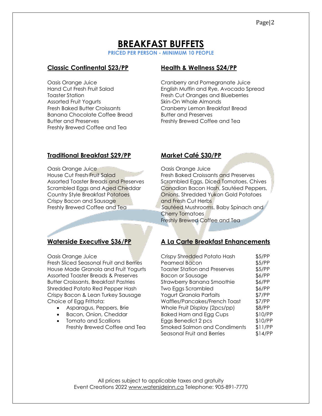# **BREAKFAST BUFFETS**

**PRICED PER PERSON - MINIMUM 10 PEOPLE**

# **Classic Continental \$23/PP Health & Wellness \$24/PP**

Assorted Fruit Yogurts **Skin-On Whole Almonds** Banana Chocolate Coffee Bread Butter and Preserves Butter and Preserves **Freshly Brewed Coffee and Tea** Freshly Brewed Coffee and Tea

Oasis Orange Juice Cranberry and Pomegranate Juice Hand Cut Fresh Fruit Salad English Muffin and Rye, Avocado Spread Toaster Station **Fresh Cut Oranges and Blueberries** Fresh Baked Butter Croissants Cranberry Lemon Breakfast Bread

# **Traditional Breakfast \$29/PP Market Café \$30/PP**

Oasis Orange Juice Oasis Orange Juice House Cut Fresh Fruit Salad Fresh Baked Croissants and Preserves **Crispy Bacon and Sausage and Fresh Cut Herbs** 

Oasis Orange Juice

Fresh Sliced Seasonal Fruit and Berries House Made Granola and Fruit Yogurts Assorted Toaster Breads & Preserves Butter Croissants, Breakfast Pastries Shredded Potato Red Pepper Hash Crispy Bacon & Lean Turkey Sausage Choice of Egg Frittata:

- Asparagus, Peppers, Brie
- Bacon, Onion, Cheddar
- $\overline{R}$  Tomato and Scallions Freshly Brewed Coffee and Tea

Assorted Toaster Breads and Preserves Scrambled Eggs, Diced Tomatoes, Chives Scrambled Eggs and Aged Cheddar Canadian Bacon Hash, Sautéed Peppers, Country Style Breakfast Potatoes Onions, Shredded Yukon Gold Potatoes Freshly Brewed Coffee and Tea Sautéed Mushrooms, Baby Spinach and Cherry Tomatoes Freshly Brewed Coffee and Tea

# **Waterside Executive \$36/PP A La Carte Breakfast Enhancements**

| Crispy Shredded Potato Hash          | \$5/PP  |
|--------------------------------------|---------|
| Peameal Bacon                        | \$5/PP  |
| <b>Toaster Station and Preserves</b> | \$5/PP  |
| <b>Bacon or Sausage</b>              | \$6/PP  |
| Strawberry Banana Smoothie           | \$6/PP  |
| <b>Two Eggs Scrambled</b>            | \$6/PP  |
| Yogurt Granola Parfaits              | \$7/PP  |
| Waffles/Pancakes/French Toast        | \$7/PP  |
| Whole Fruit Display (2pcs/pp)        | \$8/PP  |
| <b>Baked Ham and Egg Cups</b>        | \$10/PP |
| Eggs Benedict 2 pcs                  | \$10/PP |
| <b>Smoked Salmon and Condiments</b>  | \$11/PP |
| Seasonal Fruit and Berries           | \$14/PP |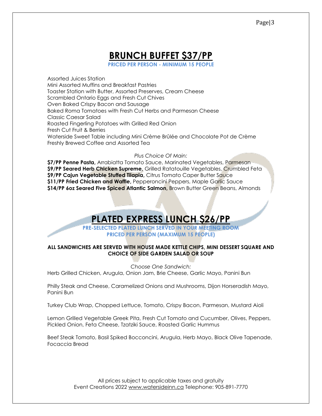# **BRUNCH BUFFET \$37/PP**

**PRICED PER PERSON - MINIMUM 15 PEOPLE**

Assorted Juices Station Mini Assorted Muffins and Breakfast Pastries Toaster Station with Butter, Assorted Preserves, Cream Cheese Scrambled Ontario Eggs and Fresh Cut Chives Oven Baked Crispy Bacon and Sausage Baked Roma Tomatoes with Fresh Cut Herbs and Parmesan Cheese Classic Caesar Salad Roasted Fingerling Potatoes with Grilled Red Onion Fresh Cut Fruit & Berries Waterside Sweet Table including Mini Crème Brûlée and Chocolate Pot de Crème Freshly Brewed Coffee and Assorted Tea

#### *Plus Choice Of Main:*

**\$7/PP Penne Pasta,** Arrabiatta Tomato Sauce, Marinated Vegetables, Parmesan **\$9/PP Seared Herb Chicken Supreme,** Grilled Ratatouille Vegetables, Crumbled Feta **\$9/PP Cajun Vegetable Stuffed Tilapia,** Citrus Tomato Caper Butter Sauce **\$11/PP Fried Chicken and Waffle,** Pepperoncini Peppers, Maple Garlic Sauce **\$14/PP 6oz Seared Five Spiced Atlantic Salmon,** Brown Butter Green Beans, Almonds

# **PLATED EXPRESS LUNCH \$26/PP**

**PRE-SELECTED PLATED LUNCH SERVED IN YOUR MEETING ROOM PRICED PER PERSON (MAXIMUM 15 PEOPLE)**

#### **ALL SANDWICHES ARE SERVED WITH HOUSE MADE KETTLE CHIPS, MINI DESSERT SQUARE AND CHOICE OF SIDE GARDEN SALAD OR SOUP**

*Choose One Sandwich:* Herb Grilled Chicken, Arugula, Onion Jam, Brie Cheese, Garlic Mayo, Panini Bun

Philly Steak and Cheese, Caramelized Onions and Mushrooms, Dijon Horseradish Mayo, Panini Bun

Turkey Club Wrap, Chopped Lettuce, Tomato, Crispy Bacon, Parmesan, Mustard Aioli

Lemon Grilled Vegetable Greek Pita, Fresh Cut Tomato and Cucumber, Olives, Peppers, Pickled Onion, Feta Cheese, Tzatziki Sauce, Roasted Garlic Hummus

Beef Steak Tomato, Basil Spiked Bocconcini, Arugula, Herb Mayo, Black Olive Tapenade, Focaccia Bread

> All prices subject to applicable taxes and gratuity Event Creations 2022 [www.watersideinn.ca](http://www.watersideinn.ca/) Telephone: 905-891-7770

#### Page|3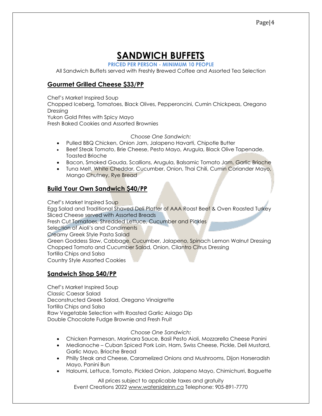# **SANDWICH BUFFETS**

**PRICED PER PERSON - MINIMUM 10 PEOPLE**

All Sandwich Buffets served with Freshly Brewed Coffee and Assorted Tea Selection

# **Gourmet Grilled Cheese \$33/PP**

Chef's Market Inspired Soup

Chopped Iceberg, Tomatoes, Black Olives, Pepperoncini, Cumin Chickpeas, Oregano Dressing

Yukon Gold Frites with Spicy Mayo

Fresh Baked Cookies and Assorted Brownies

*Choose One Sandwich:*

- Pulled BBQ Chicken, Onion Jam, Jalapeno Havarti, Chipotle Butter
- Beef Steak Tomato, Brie Cheese, Pesto Mayo, Arugula, Black Olive Tapenade, Toasted Brioche
- Bacon, Smoked Gouda, Scallions, Arugula, Balsamic Tomato Jam, Garlic Brioche
- Tuna Melt, White Cheddar, Cucumber, Onion, Thai Chili, Cumin Coriander Mayo, Mango Chutney, Rye Bread

# **Build Your Own Sandwich \$40/PP**

Chef's Market Inspired Soup

Egg Salad and Traditional Shaved Deli Platter of AAA Roast Beef & Oven Roasted Turkey Sliced Cheese served with Assorted Breads Fresh Cut Tomatoes, Shredded Lettuce, Cucumber and Pickles Selection of Aioli's and Condiments Creamy Greek Style Pasta Salad Green Goddess Slaw, Cabbage, Cucumber, Jalapeno, Spinach Lemon Walnut Dressing Chopped Tomato and Cucumber Salad, Onion, Cilantro Citrus Dressing Tortilla Chips and Salsa Country Style Assorted Cookies

# **Sandwich Shop \$40/PP**

Chef's Market Inspired Soup Classic Caesar Salad Deconstructed Greek Salad, Oregano Vinaigrette Tortilla Chips and Salsa Raw Vegetable Selection with Roasted Garlic Asiago Dip Double Chocolate Fudge Brownie and Fresh Fruit

#### *Choose One Sandwich:*

- Chicken Parmesan, Marinara Sauce, Basil Pesto Aioli, Mozzarella Cheese Panini
- Medianoche Cuban Spiced Pork Loin, Ham, Swiss Cheese, Pickle, Deli Mustard, Garlic Mayo, Brioche Bread
- Philly Steak and Cheese, Caramelized Onions and Mushrooms, Dijon Horseradish Mayo, Panini Bun
- Haloumi, Lettuce, Tomato, Pickled Onion, Jalapeno Mayo, Chimichurri, Baguette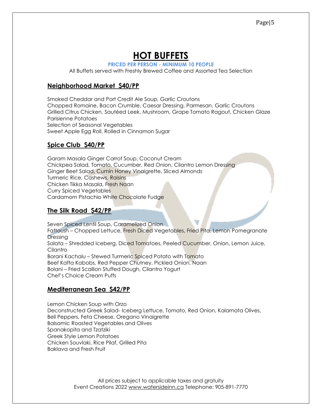# **HOT BUFFETS**

**PRICED PER PERSON - MINIMUM 10 PEOPLE**

All Buffets served with Freshly Brewed Coffee and Assorted Tea Selection

# **Neighborhood Market \$40/PP**

Smoked Cheddar and Port Credit Ale Soup, Garlic Croutons Chopped Romaine, Bacon Crumble, Caesar Dressing, Parmesan, Garlic Croutons Grilled Citrus Chicken, Sautéed Leek, Mushroom, Grape Tomato Ragout, Chicken Glaze Parisienne Potatoes Selection of Seasonal Vegetables Sweet Apple Egg Roll, Rolled in Cinnamon Sugar

# **Spice Club \$40/PP**

Garam Masala Ginger Carrot Soup, Coconut Cream Chickpea Salad, Tomato, Cucumber, Red Onion, Cilantro Lemon Dressing Ginger Beet Salad, Cumin Honey Vinaigrette, Sliced Almonds Turmeric Rice, Cashews, Raisins Chicken Tikka Masala, Fresh Naan Curry Spiced Vegetables Cardamom Pistachio White Chocolate Fudge

# **The Silk Road \$42/PP**

Seven Spiced Lentil Soup, Caramelized Onion Fattoush – Chopped Lettuce, Fresh Diced Vegetables, Fried Pita, Lemon Pomegranate Dressing Salata – Shredded Iceberg, Diced Tomatoes, Peeled Cucumber, Onion, Lemon Juice, Cilantro Borani Kachalu – Stewed Turmeric Spiced Potato with Tomato Beef Kafta Kabobs, Red Pepper Chutney, Pickled Onion, Naan Bolani – Fried Scallion Stuffed Dough, Cilantro Yogurt Chef's Choice Cream Puffs

# **Mediterranean Sea \$42/PP**

Lemon Chicken Soup with Orzo Deconstructed Greek Salad- Iceberg Lettuce, Tomato, Red Onion, Kalamata Olives, Bell Peppers, Feta Cheese, Oregano Vinaigrette Balsamic Roasted Vegetables and Olives Spanakopita and Tzatziki Greek Style Lemon Potatoes Chicken Souvlaki, Rice Pilaf, Grilled Pita Baklava and Fresh Fruit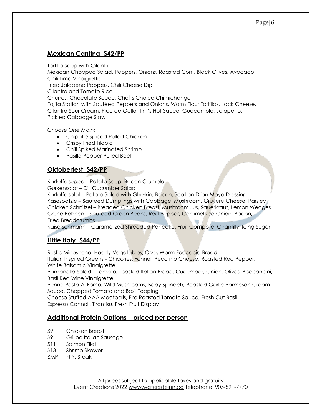# **Mexican Cantina \$42/PP**

Tortilla Soup with Cilantro Mexican Chopped Salad, Peppers, Onions, Roasted Corn, Black Olives, Avocado, Chili Lime Vinaigrette Fried Jalapeno Poppers, Chili Cheese Dip Cilantro and Tomato Rice Churros, Chocolate Sauce, Chef's Choice Chimichanga Fajita Station with Sautéed Peppers and Onions, Warm Flour Tortillas, Jack Cheese, Cilantro Sour Cream, Pico de Gallo, Tim's Hot Sauce, Guacamole, Jalapeno, Pickled Cabbage Slaw

*Choose One Main:*

- Chipotle Spiced Pulled Chicken
- Crispy Fried Tilapia
- Chili Spiked Marinated Shrimp
- Pasilla Pepper Pulled Beef

# **Oktoberfest \$42/PP**

Kartoffelsuppe – Potato Soup, Bacon Crumble Gurkensalat – Dill Cucumber Salad

Kartoffelsalat – Potato Salad with Gherkin, Bacon, Scallion Dijon Mayo Dressing Kasespatzle - Sauteed Dumplings with Cabbage, Mushroom, Gruyere Cheese, Parsley, Chicken Schnitzel – Breaded Chicken Breast, Mushroom Jus, Sauerkraut, Lemon Wedges Grune Bohnen – Sauteed Green Beans, Red Pepper, Caramelized Onion, Bacon, Fried Breadcrumbs

Kaiserschmarrn – Caramelized Shredded Pancake, Fruit Compote, Chantilly, Icing Sugar

# **Little Italy \$44/PP**

Rustic Minestrone, Hearty Vegetables, Orzo, Warm Foccacia Bread Italian Inspired Greens - Chicories, Fennel, Pecorino Cheese, Roasted Red Pepper, White Balsamic Vinaigrette

Panzanella Salad – Tomato, Toasted Italian Bread, Cucumber, Onion, Olives, Bocconcini, Basil Red Wine Vinaigrette

Penne Pasta Al Forno, Wild Mushrooms, Baby Spinach, Roasted Garlic Parmesan Cream Sauce, Chopped Tomato and Basil Topping

Cheese Stuffed AAA Meatballs, Fire Roasted Tomato Sauce, Fresh Cut Basil Espresso Cannoli, Tiramisu, Fresh Fruit Display

## **Additional Protein Options – priced per person**

- \$9 Chicken Breast
- \$9 Grilled Italian Sausage
- \$11 Salmon Filet
- \$13 Shrimp Skewer
- \$MP N.Y. Steak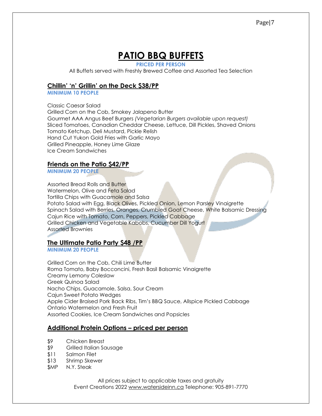# **PATIO BBQ BUFFETS**

**PRICED PER PERSON**

All Buffets served with Freshly Brewed Coffee and Assorted Tea Selection

# **Chillin' 'n' Grillin' on the Deck \$38/PP**

**MINIMUM 10 PEOPLE**

Classic Caesar Salad Grilled Corn on the Cob, Smokey Jalapeno Butter Gourmet AAA Angus Beef Burgers *(Vegetarian Burgers available upon request)* Sliced Tomatoes, Canadian Cheddar Cheese, Lettuce, Dill Pickles, Shaved Onions Tomato Ketchup, Deli Mustard, Pickle Relish Hand Cut Yukon Gold Fries with Garlic Mayo Grilled Pineapple, Honey Lime Glaze Ice Cream Sandwiches

# **Friends on the Patio \$42/PP**

**MINIMUM 20 PEOPLE**

Assorted Bread Rolls and Butter Watermelon, Olive and Feta Salad Tortilla Chips with Guacamole and Salsa Potato Salad with Egg, Black Olives, Pickled Onion, Lemon Parsley Vinaigrette Spinach Salad with Berries, Oranges, Crumbled Goat Cheese, White Balsamic Dressing Cajun Rice with Tomato, Corn, Peppers, Pickled Cabbage Grilled Chicken and Vegetable Kabobs, Cucumber Dill Yogurt Assorted Brownies

## **The Ultimate Patio Party \$48 /PP**

**MINIMUM 20 PEOPLE**

Grilled Corn on the Cob, Chili Lime Butter Roma Tomato, Baby Bocconcini, Fresh Basil Balsamic Vinaigrette Creamy Lemony Coleslaw Greek Quinoa Salad Nacho Chips, Guacamole, Salsa, Sour Cream Cajun Sweet Potato Wedges Apple Cider Braised Pork Back Ribs, Tim's BBQ Sauce, Allspice Pickled Cabbage Ontario Watermelon and Fresh Fruit Assorted Cookies, Ice Cream Sandwiches and Popsicles

## **Additional Protein Options – priced per person**

- \$9 Chicken Breast
- \$9 Grilled Italian Sausage
- \$11 Salmon Filet
- \$13 Shrimp Skewer
- \$MP N.Y. Steak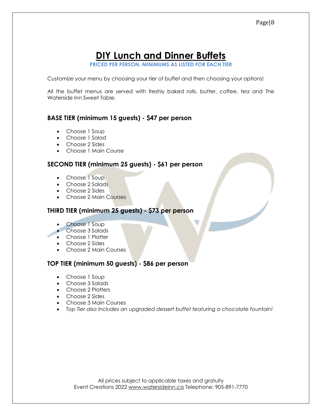# **DIY Lunch and Dinner Buffets**

**PRICED PER PERSON, MINIMUMS AS LISTED FOR EACH TIER**

Customize your menu by choosing your tier of buffet and then choosing your options!

All the buffet menus are served with freshly baked rolls, butter, coffee, tea and The Waterside Inn Sweet Table.

# **BASE TIER (minimum 15 guests) - \$47 per person**

- Choose 1 Soup
- Choose 1 Salad
- Choose 2 Sides
- Choose 1 Main Course

### **SECOND TIER (minimum 25 guests) - \$61 per person**

- Choose 1 Soup
- Choose 2 Salads
- Choose 2 Sides
- Choose 2 Main Courses

### **THIRD TIER (minimum 25 guests) - \$73 per person**

- Choose 1 Soup
- Choose 3 Salads
- Choose 1 Platter
- Choose 2 Sides
- Choose 2 Main Courses

## **TOP TIER (minimum 50 guests) - \$86 per person**

- Choose 1 Soup
- Choose 3 Salads
- Choose 2 Platters
- Choose 2 Sides
- Choose 3 Main Courses
- *Top Tier also includes an upgraded dessert buffet featuring a chocolate fountain!*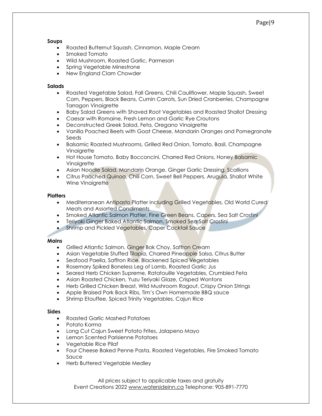#### **Soups**

- Roasted Butternut Squash, Cinnamon, Maple Cream
- Smoked Tomato
- Wild Mushroom, Roasted Garlic, Parmesan
- Spring Vegetable Minestrone
- New England Clam Chowder

#### **Salads**

- Roasted Vegetable Salad, Fall Greens, Chili Cauliflower, Maple Squash, Sweet Corn, Peppers, Black Beans, Cumin Carrots, Sun Dried Cranberries, Champagne Tarragon Vinaigrette
- Baby Salad Greens with Shaved Root Vegetables and Roasted Shallot Dressing
- Caesar with Romaine, Fresh Lemon and Garlic Rye Croutons
- Deconstructed Greek Salad, Feta, Oregano Vinaigrette
- Vanilla Poached Beets with Goat Cheese, Mandarin Oranges and Pomegranate Seeds
- Balsamic Roasted Mushrooms, Grilled Red Onion, Tomato, Basil, Champagne **Vinaigrette**
- Hot House Tomato, Baby Bocconcini, Charred Red Onions, Honey Balsamic Vinaigrette
- Asian Noodle Salad, Mandarin Orange, Ginger Garlic Dressing, Scallions
- Citrus Poached Quinoa, Chili Corn, Sweet Bell Peppers, Arugula, Shallot White Wine Vinaigrette

#### **Platters**

- Mediterranean Antipasto Platter including Grilled Vegetables, Old World Cured Meats and Assorted Condiments
- Smoked Atlantic Salmon Platter, Fine Green Beans, Capers, Sea Salt Crostini
- Teriyaki Ginger Baked Atlantic Salmon, Smoked Sea Salt Crostini
- Shrimp and Pickled Vegetables, Caper Cocktail Sauce

#### **Mains**

- Grilled Atlantic Salmon, Ginger Bok Choy, Saffron Cream
- Asian Vegetable Stuffed Tilapia, Charred Pineapple Salsa, Citrus Butter
- Seafood Paella, Saffron Rice, Blackened Spiced Vegetables
- Rosemary Spiked Boneless Leg of Lamb, Roasted Garlic Jus
- Seared Herb Chicken Supreme, Ratatouille Vegetables, Crumbled Feta
- Asian Roasted Chicken, Yuzu Teriyaki Glaze, Crisped Wontons
- Herb Grilled Chicken Breast, Wild Mushroom Ragout, Crispy Onion Strings
- Apple Braised Pork Back Ribs, Tim's Own Homemade BBQ sauce
- Shrimp Etouffee, Spiced Trinity Vegetables, Cajun Rice

#### **Sides**

- Roasted Garlic Mashed Potatoes
- Potato Korma
- Long Cut Cajun Sweet Potato Frites, Jalapeno Mayo
- Lemon Scented Parisienne Potatoes
- Vegetable Rice Pilaf
- Four Cheese Baked Penne Pasta, Roasted Vegetables, Fire Smoked Tomato Sauce
- Herb Buttered Vegetable Medley

All prices subject to applicable taxes and gratuity Event Creations 2022 [www.watersideinn.ca](http://www.watersideinn.ca/) Telephone: 905-891-7770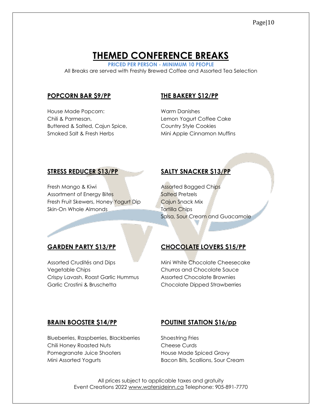# **THEMED CONFERENCE BREAKS**

**PRICED PER PERSON - MINIMUM 10 PEOPLE** All Breaks are served with Freshly Brewed Coffee and Assorted Tea Selection

### **POPCORN BAR \$9/PP THE BAKERY \$12/PP**

House Made Popcorn: Warm Danishes Chili & Parmesan, The Context of Lemon Yogurt Coffee Cake Buttered & Salted, Cajun Spice, Country Style Cookies Smoked Salt & Fresh Herbs Mini Apple Cinnamon Muffins

### **STRESS REDUCER \$13/PP SALTY SNACKER \$13/PP**

Fresh Mango & Kiwi Assorted Bagged Chips Assortment of Energy Bites Salted Pretzels Fresh Fruit Skewers, Honey Yogurt Dip Cajun Snack Mix Skin-On Whole Almonds Tortilla Chips

Salsa, Sour Cream and Guacamole

Assorted Crudités and Dips Mini White Chocolate Cheesecake Vegetable Chips Churros and Chocolate Sauce Crispy Lavash, Roast Garlic Hummus Assorted Chocolate Brownies Garlic Crostini & Bruschetta Chocolate Dipped Strawberries

# **GARDEN PARTY \$13/PP CHOCOLATE LOVERS \$15/PP**

Blueberries, Raspberries, Blackberries Shoestring Fries Chili Honey Roasted Nuts Cheese Curds Pomegranate Juice Shooters **House Made Spiced Gravy** Mini Assorted Yogurts Bacon Bits, Scallions, Sour Cream

#### **BRAIN BOOSTER \$14/PP POUTINE STATION \$16/pp**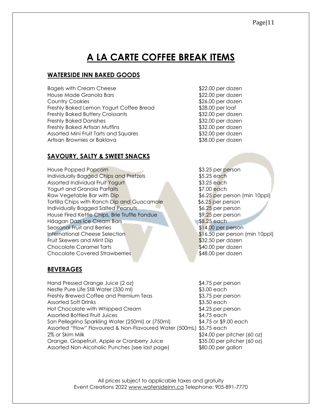# **WATERSIDE INN BAKED GOODS**

Bagels with Cream Cheese  $$22.00$  per dozen House Made Granola Bars **\$22.00 per dozen Country Cookies 626.00 per dozen** \$26.00 per dozen Freshly Baked Lemon Yogurt Coffee Bread \$28.00 per loaf Freshly Baked Buttery Croissants \$32.00 per dozen Freshly Baked Danishes \$32.00 per dozen Freshly Baked Artisan Muffins **\$32.00 per dozen** Assorted Mini Fruit Tarts and Squares **\$32.00 per dozen** Artisan Brownies or Baklava **\$38.00 per dozen** 

# **SAVOURY, SALTY & SWEET SNACKS**

House Popped Popcorn **\$3.25 per person** Individually Bagged Chips and Pretzels  $$5.25$  each Assorted Individual Fruit Yogurt **\$3.25 each Yogurt and Granola Parfaits \$7.00 each** Raw Vegetable Bar with Dip  $$6.25$  per person (min 10ppl) Tortilla Chips with Ranch Dip and Guacamole \$6.25 per person Individually Bagged Salted Peanuts **1996 \$6.25** per person House Fired Kettle Chips, Brie Truffle Fondue \$9.25 per person Häagan Dazs Ice Cream Bars **1999 each** 1999 **\$8.25 each** Seasonal Fruit and Berries **\$14.00 per person** International Cheese Selection \$16.50 per person (min 10ppl) Fruit Skewers and Mint Dip **\$32.50 per dozen** Chocolate Caramel Tarts **\$40.00 per dozen** Chocolate Covered Strawberries  $$48.00$  per dozen

## **BEVERAGES**

Hand Pressed Orange Juice (2 oz) \$4.75 per person Nestle Pure Life Still Water (330 ml) 63.00 each Freshly Brewed Coffee and Premium Teas \$3.75 per person Assorted Soft Drinks  $$3.50$  each Hot Chocolate with Whipped Cream  $$4.25$  per person Assorted Bottled Fruit Juices  $$4.75$  each San Pellegrino Sparkling Water (250ml) or (750ml) \$4.75 or \$9.00 each Assorted "Flow" Flavoured & Non-Flavoured Water (500mL) \$5.75 each 2% or Skim Milk  $$24.00$  per pitcher (60 oz) Orange, Grapefruit, Apple or Cranberry Juice \$35.00 per pitcher (60 oz) Assorted Non-Alcoholic Punches (see last page) \$80.00 per gallon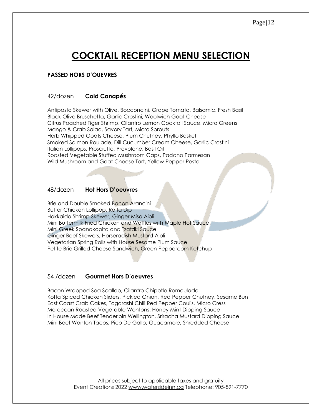# **COCKTAIL RECEPTION MENU SELECTION**

# **PASSED HORS D'OUEVRES**

### 42/dozen **Cold Canap***é***s**

Antipasto Skewer with Olive, Bocconcini, Grape Tomato, Balsamic, Fresh Basil Black Olive Bruschetta, Garlic Crostini, Woolwich Goat Cheese Citrus Poached Tiger Shrimp, Cilantro Lemon Cocktail Sauce, Micro Greens Mango & Crab Salad, Savory Tart, Micro Sprouts Herb Whipped Goats Cheese, Plum Chutney, Phyllo Basket Smoked Salmon Roulade, Dill Cucumber Cream Cheese, Garlic Crostini Italian Lollipops, Prosciutto, Provolone, Basil Oil Roasted Vegetable Stuffed Mushroom Caps, Padano Parmesan Wild Mushroom and Goat Cheese Tart, Yellow Pepper Pesto

#### 48/dozen **Hot Hors D'oeuvres**

Brie and Double Smoked Bacon Arancini Butter Chicken Lollipop, Raita Dip Hokkaido Shrimp Skewer, Ginger Miso Aioli Mini Buttermilk Fried Chicken and Waffles with Maple Hot Sauce Mini Greek Spanakopita and Tzatziki Sauce Ginger Beef Skewers, Horseradish Mustard Aioli Vegetarian Spring Rolls with House Sesame Plum Sauce Petite Brie Grilled Cheese Sandwich, Green Peppercorn Ketchup

#### 54 /dozen **Gourmet Hors D'oeuvres**

Bacon Wrapped Sea Scallop, Cilantro Chipotle Remoulade Kofta Spiced Chicken Sliders, Pickled Onion, Red Pepper Chutney, Sesame Bun East Coast Crab Cakes, Togarashi Chili Red Pepper Coulis, Micro Cress Moroccan Roasted Vegetable Wontons. Honey Mint Dipping Sauce In House Made Beef Tenderloin Wellington, Sriracha Mustard Dipping Sauce Mini Beef Wonton Tacos, Pico De Gallo, Guacamole, Shredded Cheese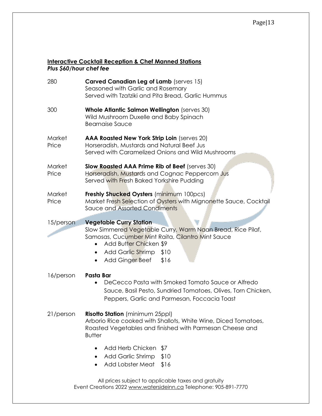### **Interactive Cocktail Reception & Chef Manned Stations** *Plus \$60/hour chef fee*

| 280             | Carved Canadian Leg of Lamb (serves 15)<br>Seasoned with Garlic and Rosemary<br>Served with Tzatziki and Pita Bread, Garlic Hummus                                                                                                                                       |
|-----------------|--------------------------------------------------------------------------------------------------------------------------------------------------------------------------------------------------------------------------------------------------------------------------|
| 300             | Whole Atlantic Salmon Wellington (serves 30)<br>Wild Mushroom Duxelle and Baby Spinach<br><b>Bearnaise Sauce</b>                                                                                                                                                         |
| Market<br>Price | AAA Roasted New York Strip Loin (serves 20)<br>Horseradish, Mustards and Natural Beef Jus<br>Served with Caramelized Onions and Wild Mushrooms                                                                                                                           |
| Market<br>Price | Slow Roasted AAA Prime Rib of Beef (serves 30)<br>Horseradish, Mustards and Cognac Peppercorn Jus<br>Served with Fresh Baked Yorkshire Pudding                                                                                                                           |
| Market<br>Price | Freshly Shucked Oysters (minimum 100pcs)<br>Market Fresh Selection of Oysters with Mignonette Sauce, Cocktail<br>Sauce and Assorted Condiments                                                                                                                           |
| 15/person       | <b>Vegetable Curry Station</b><br>Slow Simmered Vegetable Curry, Warm Naan Bread, Rice Pilaf,<br>Samosas, Cucumber Mint Raita, Cilantro Mint Sauce<br>Add Butter Chicken \$9<br>$\bullet$<br>Add Garlic Shrimp \$10<br>$\bullet$<br>Add Ginger Beef<br>\$16<br>$\bullet$ |
| 16/person       | Pasta Bar<br>DeCecco Pasta with Smoked Tomato Sauce or Alfredo<br>Sauce, Basil Pesto, Sundried Tomatoes, Olives, Torn Chicken,<br>Peppers, Garlic and Parmesan, Foccacia Toast                                                                                           |
| 21/person       | Risotto Station (minimum 25ppl)<br>Arborio Rice cooked with Shallots, White Wine, Diced Tomatoes,<br>Roasted Vegetables and finished with Parmesan Cheese and<br><b>Butter</b>                                                                                           |
|                 | Add Herb Chicken<br>\$7<br><b>Add Garlic Shrimp</b><br>\$10<br>Add Lobster Meat<br>\$16                                                                                                                                                                                  |
|                 | All prices subject to applicable taxes and aratuity                                                                                                                                                                                                                      |

All prices subject to applicable taxes and gratuity Event Creations 2022 [www.watersideinn.ca](http://www.watersideinn.ca/) Telephone: 905-891-7770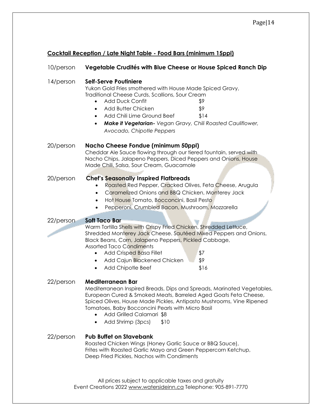# **Cocktail Reception / Late Night Table - Food Bars (minimum 15ppl)**

| 10/person | Vegetable Crudités with Blue Cheese or House Spiced Ranch Dip                                                                                                                                                                                                                                                                                                                                   |
|-----------|-------------------------------------------------------------------------------------------------------------------------------------------------------------------------------------------------------------------------------------------------------------------------------------------------------------------------------------------------------------------------------------------------|
| 14/person | <b>Self-Serve Poutiniere</b><br>Yukon Gold Fries smothered with House Made Spiced Gravy,<br>Traditional Cheese Curds, Scallions, Sour Cream<br><b>Add Duck Confit</b><br>\$9<br>$\bullet$<br>Add Butter Chicken<br>\$9<br>$\bullet$<br>Add Chili Lime Ground Beef<br>\$14<br>$\bullet$<br>Make it Vegetarian- Vegan Gravy, Chili Roasted Cauliflower,<br>$\bullet$<br>Avocado, Chipotle Peppers |
| 20/person | <b>Nacho Cheese Fondue (minimum 50ppl)</b><br>Cheddar Ale Sauce flowing through our tiered fountain, served with<br>Nacho Chips, Jalapeno Peppers, Diced Peppers and Onions, House<br>Made Chili, Salsa, Sour Cream, Guacamole                                                                                                                                                                  |
| 20/person | <b>Chef's Seasonally Inspired Flatbreads</b><br>Roasted Red Pepper, Cracked Olives, Feta Cheese, Arugula<br>Caramelized Onions and BBQ Chicken, Monterey Jack<br>٠<br>Hot House Tomato, Bocconcini, Basil Pesto<br>$\bullet$<br>Pepperoni, Crumbled Bacon, Mushroom, Mozzarella                                                                                                                 |
| 22/person | <b>Soft Taco Bar</b>                                                                                                                                                                                                                                                                                                                                                                            |
|           | Warm Tortilla Shells with Crispy Fried Chicken, Shredded Lettuce,<br>Shredded Monterey Jack Cheese. Sautéed Mixed Peppers and Onions,<br>Black Beans, Corn, Jalapeno Peppers, Pickled Cabbage,<br><b>Assorted Taco Condiments</b><br><b>Add Crisped Basa Fillet</b><br>\$7<br>$\bullet$<br>\$9<br>Add Cajun Blackened Chicken<br>Add Chipotle Beef<br>\$16<br>٠                                 |
| 22/person | <b>Mediterranean Bar</b><br>Mediterranean Inspired Breads, Dips and Spreads, Marinated Vegetables,<br>European Cured & Smoked Meats, Barreled Aged Goats Feta Cheese,<br>Spiced Olives, House Made Pickles, Antipasto Mushrooms, Vine Ripened<br>Tomatoes, Baby Bocconcini Pearls with Micro Basil<br>Add Grilled Calamari \$8<br>Add Shrimp (3pcs)<br>\$10                                     |
| 22/person | <b>Pub Buffet on Stavebank</b><br>Roasted Chicken Wings (Honey Garlic Sauce or BBQ Sauce),<br>Frites with Roasted Garlic Mayo and Green Peppercorn Ketchup,<br>Deep Fried Pickles, Nachos with Condiments                                                                                                                                                                                       |
|           | All prices subject to applicable taxes and gratuity<br>Event Creations 2022 www.watersideinn.ca Telephone: 905-891-7770                                                                                                                                                                                                                                                                         |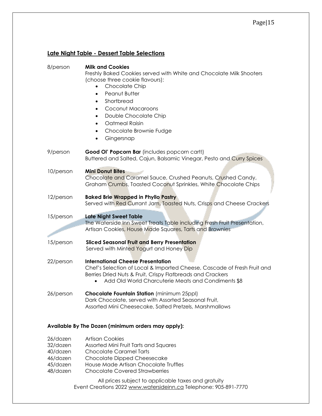# **Late Night Table - Dessert Table Selections**

| 8/person  | <b>Milk and Cookies</b><br>Freshly Baked Cookies served with White and Chocolate Milk Shooters<br>(choose three cookie flavours):<br>Chocolate Chip<br>Peanut Butter<br>$\bullet$<br>Shortbread<br>$\bullet$<br>Coconut Macaroons<br>$\bullet$<br>Double Chocolate Chip<br>$\bullet$<br>Oatmeal Raisin<br>$\bullet$<br>Chocolate Brownie Fudge<br>$\bullet$<br>Gingersnap<br>$\bullet$ |
|-----------|----------------------------------------------------------------------------------------------------------------------------------------------------------------------------------------------------------------------------------------------------------------------------------------------------------------------------------------------------------------------------------------|
| 9/person  | Good OI' Popcorn Bar (includes popcorn cart!)<br>Buttered and Salted, Cajun, Balsamic Vinegar, Pesto and Curry Spices                                                                                                                                                                                                                                                                  |
| 10/person | <b>Mini Donut Bites</b><br>Chocolate and Caramel Sauce, Crushed Peanuts, Crushed Candy,<br>Graham Crumbs, Toasted Coconut Sprinkles, White Chocolate Chips                                                                                                                                                                                                                             |
| 12/person | <b>Baked Brie Wrapped in Phyllo Pastry</b><br>Served with Red Currant Jam, Toasted Nuts, Crisps and Cheese Crackers                                                                                                                                                                                                                                                                    |
| 15/person | <b>Late Night Sweet Table</b><br>The Waterside Inn Sweet Treats Table including Fresh Fruit Presentation,<br>Artisan Cookies, House Made Squares, Tarts and Brownies                                                                                                                                                                                                                   |
| 15/person | <b>Sliced Seasonal Fruit and Berry Presentation</b><br>Served with Minted Yogurt and Honey Dip                                                                                                                                                                                                                                                                                         |
| 22/person | <b>International Cheese Presentation</b><br>Chef's Selection of Local & Imported Cheese, Cascade of Fresh Fruit and<br>Berries Dried Nuts & Fruit, Crispy Flatbreads and Crackers<br>Add Old World Charcuterie Meats and Condiments \$8<br>$\bullet$                                                                                                                                   |
| 26/person | Chocolate Fountain Station (minimum 25ppl)<br>Dark Chocolate, served with Assorted Seasonal Fruit,<br>Assorted Mini Cheesecake, Salted Pretzels, Marshmallows                                                                                                                                                                                                                          |

### **Available By The Dozen (minimum orders may apply):**

| 26/dozen | <b>Artisan Cookies</b>                |
|----------|---------------------------------------|
| 32/dozen | Assorted Mini Fruit Tarts and Squares |
| 40/dozen | <b>Chocolate Caramel Tarts</b>        |
| 46/dozen | Chocolate Dipped Cheesecake           |
| 45/dozen | House Made Artisan Chocolate Truffles |
| 48/dozen | <b>Chocolate Covered Strawberries</b> |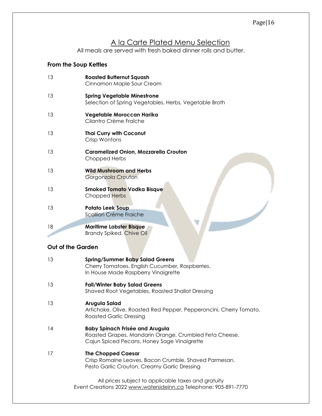# A la Carte Plated Menu Selection

All meals are served with fresh baked dinner rolls and butter.

# **From the Soup Kettles**

| 13 | <b>Roasted Butternut Squash</b><br>Cinnamon Maple Sour Cream                                 |
|----|----------------------------------------------------------------------------------------------|
| 13 | <b>Spring Vegetable Minestrone</b><br>Selection of Spring Vegetables, Herbs, Vegetable Broth |
| 13 | Vegetable Moroccan Harika<br>Cilantro Crème Fraîche                                          |
| 13 | <b>Thai Curry with Coconut</b><br>Crisp Wontons                                              |
| 13 | <b>Caramelized Onion, Mozzarella Crouton</b><br>Chopped Herbs                                |
| 13 | <b>Wild Mushroom and Herbs</b><br>Gorgonzola Crouton                                         |
| 13 | <b>Smoked Tomato Vodka Bisque</b><br>Chopped Herbs                                           |
| 13 | <b>Potato Leek Soup</b><br>Scallion Crème Fraiche                                            |
| 18 | <b>Maritime Lobster Bisque</b><br><b>Brandy Spiked, Chive Oil</b>                            |

# **Out of the Garden**

| 13 | <b>Spring/Summer Baby Salad Greens</b><br>Cherry Tomatoes, English Cucumber, Raspberries,<br>In House Made Raspberry Vinaigrette                |
|----|-------------------------------------------------------------------------------------------------------------------------------------------------|
| 13 | <b>Fall/Winter Baby Salad Greens</b><br>Shaved Root Vegetables, Roasted Shallot Dressing                                                        |
| 13 | Arugula Salad<br>Artichoke, Olive, Roasted Red Pepper, Pepperoncini, Cherry Tomato,<br><b>Roasted Garlic Dressing</b>                           |
| 14 | <b>Baby Spinach Frisée and Arugula</b><br>Roasted Grapes, Mandarin Orange, Crumbled Feta Cheese,<br>Cajun Spiced Pecans, Honey Sage Vinaigrette |
| 17 | <b>The Chopped Caesar</b><br>Crisp Romaine Leaves, Bacon Crumble, Shaved Parmesan,<br>Pesto Garlic Crouton, Creamy Garlic Dressing              |
|    | All prices subject to applicable taxes and gratuity<br>Event Creations 2022 www.watersideinn.ca Telephone: 905-891-7770                         |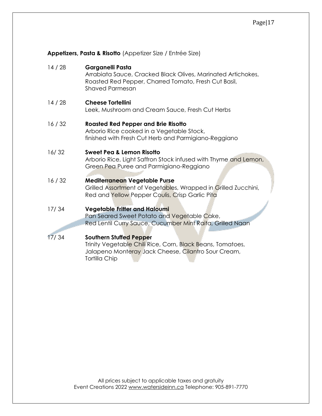| 14/28 | Garganelli Pasta<br>Arrabiata Sauce, Cracked Black Olives, Marinated Artichokes,<br>Roasted Red Pepper, Charred Tomato, Fresh Cut Basil,<br><b>Shaved Parmesan</b> |
|-------|--------------------------------------------------------------------------------------------------------------------------------------------------------------------|
| 14/28 | <b>Cheese Tortellini</b><br>Leek, Mushroom and Cream Sauce, Fresh Cut Herbs                                                                                        |
| 16/32 | <b>Roasted Red Pepper and Brie Risotto</b><br>Arborio Rice cooked in a Vegetable Stock,<br>finished with Fresh Cut Herb and Parmigiano-Reggiano                    |
| 16/32 | Sweet Pea & Lemon Risotto<br>Arborio Rice, Light Saffron Stock infused with Thyme and Lemon,<br>Green Pea Puree and Parmigiano-Reggiano                            |
| 16/32 | Mediterranean Vegetable Purse<br>Grilled Assortment of Vegetables, Wrapped in Grilled Zucchini,<br>Red and Yellow Pepper Coulis, Crisp Garlic Pita                 |
| 17/34 | <b>Vegetable Fritter and Haloumi</b><br>Pan Seared Sweet Potato and Vegetable Cake,<br>Red Lentil Curry Sauce, Cucumber Mint Raita, Grilled Naan                   |
| 17/34 | <b>Southern Stuffed Pepper</b>                                                                                                                                     |

**Appetizers, Pasta & Risotto** (Appetizer Size / Entrée Size)

Trinity Vegetable Chili Rice, Corn, Black Beans, Tomatoes, Jalapeno Monteray Jack Cheese, Cilantro Sour Cream, Tortilla Chip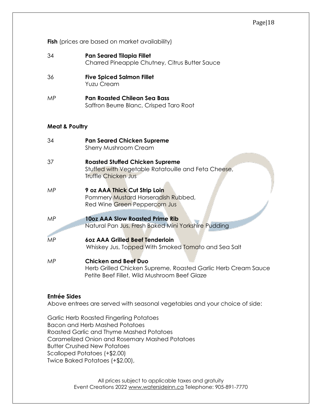**Fish** (prices are based on market availability)

| 34 | <b>Pan Seared Tilapia Fillet</b>               |
|----|------------------------------------------------|
|    | Charred Pineapple Chutney, Citrus Butter Sauce |

- 36 **Five Spiced Salmon Fillet** Yuzu Cream
- MP **Pan Roasted Chilean Sea Bass**  Saffron Beurre Blanc, Crisped Taro Root

#### **Meat & Poultry**

| 34        | <b>Pan Seared Chicken Supreme</b><br><b>Sherry Mushroom Cream</b>                                                                            |
|-----------|----------------------------------------------------------------------------------------------------------------------------------------------|
| 37        | <b>Roasted Stuffed Chicken Supreme</b><br>Stuffed with Vegetable Ratatouille and Feta Cheese,<br>Truffle Chicken Jus                         |
| MP.       | 9 oz AAA Thick Cut Strip Loin<br>Pommery Mustard Horseradish Rubbed,<br>Red Wine Green Peppercorn Jus                                        |
| <b>MP</b> | <b>10oz AAA Slow Roasted Prime Rib</b><br>Natural Pan Jus, Fresh Baked Mini Yorkshire Pudding                                                |
| <b>MP</b> | 60z AAA Grilled Beef Tenderloin<br>Whiskey Jus, Topped With Smoked Tomato and Sea Salt                                                       |
| MP.       | <b>Chicken and Beef Duo</b><br>Herb Grilled Chicken Supreme, Roasted Garlic Herb Cream Sauce<br>Petite Beef Fillet, Wild Mushroom Beef Glaze |

#### **Entrée Sides**

Above entrees are served with seasonal vegetables and your choice of side:

Garlic Herb Roasted Fingerling Potatoes Bacon and Herb Mashed Potatoes Roasted Garlic and Thyme Mashed Potatoes Caramelized Onion and Rosemary Mashed Potatoes Butter Crushed New Potatoes Scalloped Potatoes (+\$2.00) Twice Baked Potatoes (+\$2.00),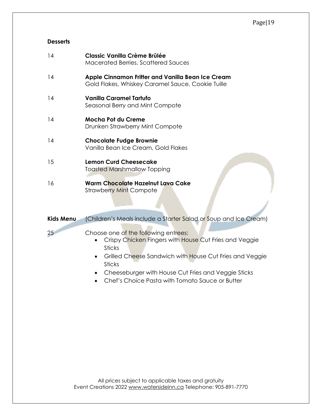# **Desserts**

| 14        | <b>Classic Vanilla Crème Brûlée</b><br><b>Macerated Berries, Scattered Sauces</b>                                                                                                 |
|-----------|-----------------------------------------------------------------------------------------------------------------------------------------------------------------------------------|
| 14        | Apple Cinnamon Fritter and Vanilla Bean Ice Cream<br>Gold Flakes, Whiskey Caramel Sauce, Cookie Tuille                                                                            |
| 14        | <b>Vanilla Caramel Tartufo</b><br>Seasonal Berry and Mint Compote                                                                                                                 |
| 14        | <b>Mocha Pot du Creme</b><br>Drunken Strawberry Mint Compote                                                                                                                      |
| 14        | <b>Chocolate Fudge Brownie</b><br>Vanilla Bean Ice Cream, Gold Flakes                                                                                                             |
| 15        | <b>Lemon Curd Cheesecake</b><br><b>Toasted Marshmallow Topping</b>                                                                                                                |
| 16        | <b>Warm Chocolate Hazelnut Lava Cake</b><br><b>Strawberry Mint Compote</b>                                                                                                        |
| Kids Menu | (Children's Meals include a Starter Salad or Soup and Ice Cream)                                                                                                                  |
| 25        | Choose one of the following entrees:<br>Crispy Chicken Fingers with House Cut Fries and Veggie<br><b>Sticks</b><br>$C$ rilled Chaese Sandwich with Hause $C_1$ t Fries and Vegeis |

- Grilled Cheese Sandwich with House Cut Fries and Veggie **Sticks**
- Cheeseburger with House Cut Fries and Veggie Sticks
- Chef's Choice Pasta with Tomato Sauce or Butter